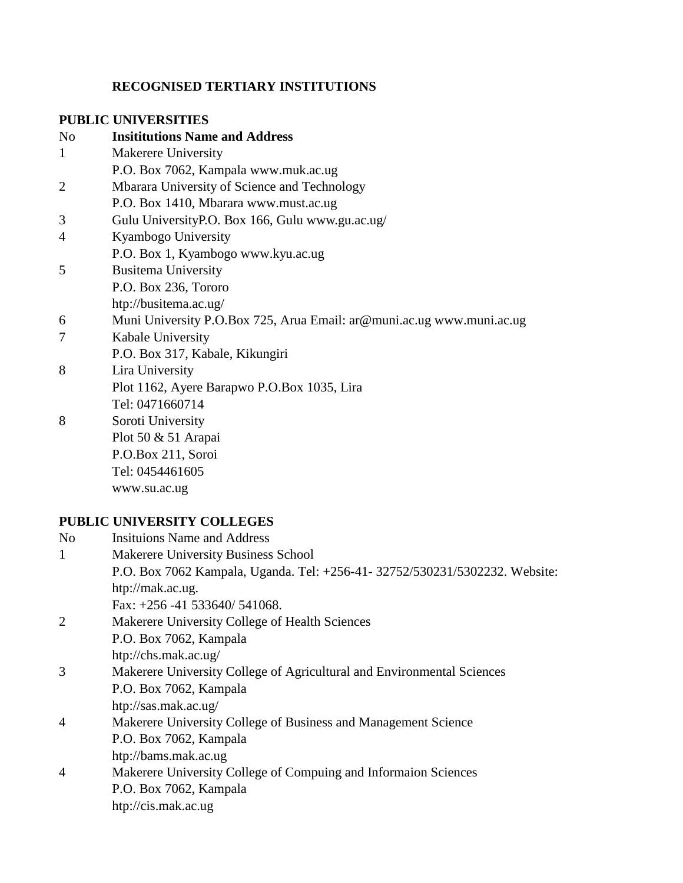## **RECOGNISED TERTIARY INSTITUTIONS**

## **PUBLIC UNIVERSITIES**

| N <sub>o</sub> | <b>Insititutions Name and Address</b>                                 |
|----------------|-----------------------------------------------------------------------|
| 1              | Makerere University                                                   |
|                | P.O. Box 7062, Kampala www.muk.ac.ug                                  |
| 2              | Mbarara University of Science and Technology                          |
|                | P.O. Box 1410, Mbarara www.must.ac.ug                                 |
| 3              | Gulu UniversityP.O. Box 166, Gulu www.gu.ac.ug/                       |
| $\overline{4}$ | Kyambogo University                                                   |
|                | P.O. Box 1, Kyambogo www.kyu.ac.ug                                    |
| 5              | <b>Busitema University</b>                                            |
|                | P.O. Box 236, Tororo                                                  |
|                | htp://busitema.ac.ug/                                                 |
| 6              | Muni University P.O.Box 725, Arua Email: ar@muni.ac.ug www.muni.ac.ug |
| 7              | Kabale University                                                     |
|                | P.O. Box 317, Kabale, Kikungiri                                       |
| 8              | Lira University                                                       |
|                | Plot 1162, Ayere Barapwo P.O.Box 1035, Lira                           |
|                | Tel: 0471660714                                                       |
| 8              | Soroti University                                                     |
|                | Plot 50 & 51 Arapai                                                   |
|                | P.O.Box 211, Soroi                                                    |
|                | Tel: 0454461605                                                       |
|                | www.su.ac.ug                                                          |
|                |                                                                       |

# **PUBLIC UNIVERSITY COLLEGES**

| N <sub>0</sub> | <b>Insituions Name and Address</b>                                          |
|----------------|-----------------------------------------------------------------------------|
|                | Makerere University Business School                                         |
|                | P.O. Box 7062 Kampala, Uganda. Tel: +256-41- 32752/530231/5302232. Website: |
|                | htp://mak.ac.ug.                                                            |
|                | Fax: $+256 - 41$ 533640/ 541068.                                            |
|                | Makerere University College of Health Sciences                              |
|                | P.O. Box 7062, Kampala                                                      |
|                | htp://chs.mak.ac.ug/                                                        |
| 3              | Makerere University College of Agricultural and Environmental Sciences      |
|                | P.O. Box 7062, Kampala                                                      |
|                | htp://sas.mak.ac.ug/                                                        |
| 4              | Makerere University College of Business and Management Science              |
|                | P.O. Box 7062, Kampala                                                      |
|                | htp://bams.mak.ac.ug                                                        |
| 4              | Makerere University College of Compuing and Informaion Sciences             |
|                | P.O. Box 7062, Kampala                                                      |
|                | htp://cis.mak.ac.ug                                                         |
|                |                                                                             |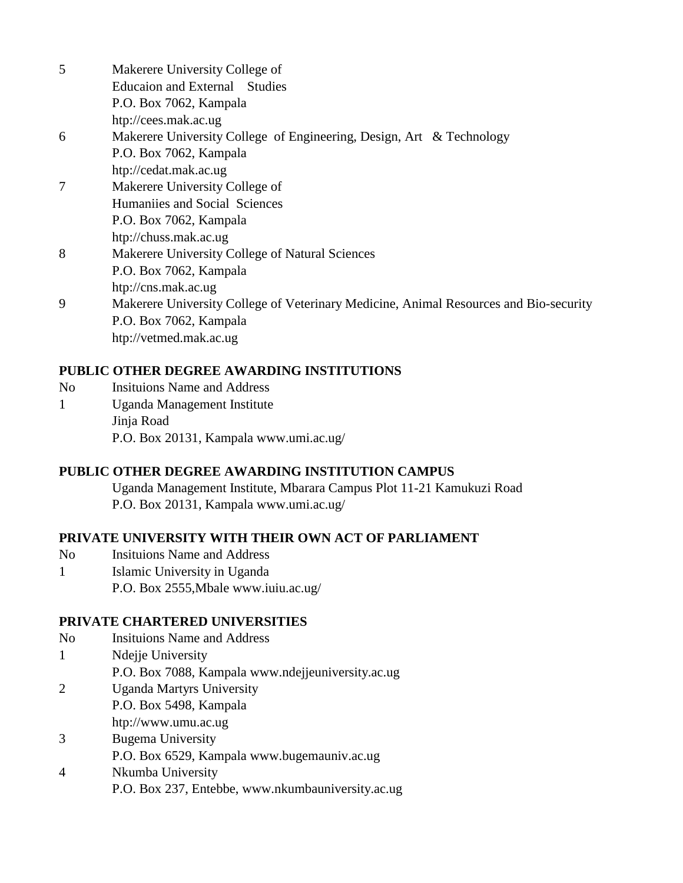- 5 Makerere University College of Educaion and External Studies P.O. Box 7062, Kampala htp://cees.mak.ac.ug 6 Makerere University College of Engineering, Design, Art & Technology P.O. Box 7062, Kampala htp://cedat.mak.ac.ug 7 Makerere University College of Humaniies and Social Sciences P.O. Box 7062, Kampala htp://chuss.mak.ac.ug 8 Makerere University College of Natural Sciences P.O. Box 7062, Kampala htp://cns.mak.ac.ug 9 Makerere University College of Veterinary Medicine, Animal Resources and Bio-security P.O. Box 7062, Kampala
	- htp://vetmed.mak.ac.ug

## **PUBLIC OTHER DEGREE AWARDING INSTITUTIONS**

- No Insituions Name and Address
- 1 Uganda Management Institute Jinja Road P.O. Box 20131, Kampala www.umi.ac.ug/

### **PUBLIC OTHER DEGREE AWARDING INSTITUTION CAMPUS**

Uganda Management Institute, Mbarara Campus Plot 11-21 Kamukuzi Road P.O. Box 20131, Kampala www.umi.ac.ug/

### **PRIVATE UNIVERSITY WITH THEIR OWN ACT OF PARLIAMENT**

- No Insituions Name and Address 1 Islamic University in Uganda
- P.O. Box 2555,Mbale www.iuiu.ac.ug/

## **PRIVATE CHARTERED UNIVERSITIES**

- No Insituions Name and Address 1 Ndejje University P.O. Box 7088, Kampala www.ndejjeuniversity.ac.ug
- 2 Uganda Martyrs University
	- P.O. Box 5498, Kampala
	- htp://www.umu.ac.ug
- 3 Bugema University
	- P.O. Box 6529, Kampala www.bugemauniv.ac.ug
- 4 Nkumba University P.O. Box 237, Entebbe, www.nkumbauniversity.ac.ug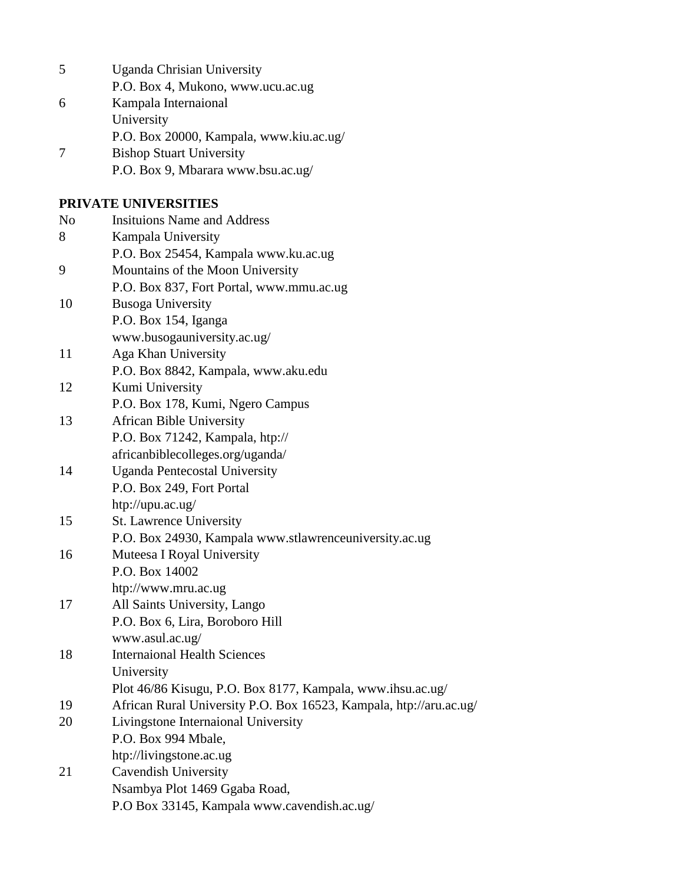| 5              | <b>Uganda Chrisian University</b>                                  |
|----------------|--------------------------------------------------------------------|
|                | P.O. Box 4, Mukono, www.ucu.ac.ug                                  |
| 6              | Kampala Internaional                                               |
|                | University                                                         |
|                | P.O. Box 20000, Kampala, www.kiu.ac.ug/                            |
| 7              | <b>Bishop Stuart University</b>                                    |
|                | P.O. Box 9, Mbarara www.bsu.ac.ug/                                 |
|                | PRIVATE UNIVERSITIES                                               |
| N <sub>o</sub> | <b>Insituions Name and Address</b>                                 |
| 8              | Kampala University                                                 |
|                | P.O. Box 25454, Kampala www.ku.ac.ug                               |
| 9              | Mountains of the Moon University                                   |
|                | P.O. Box 837, Fort Portal, www.mmu.ac.ug                           |
| 10             | <b>Busoga University</b>                                           |
|                | P.O. Box 154, Iganga                                               |
|                | www.busogauniversity.ac.ug/                                        |
| 11             | Aga Khan University                                                |
|                | P.O. Box 8842, Kampala, www.aku.edu                                |
| 12             | Kumi University                                                    |
|                | P.O. Box 178, Kumi, Ngero Campus                                   |
| 13             | <b>African Bible University</b>                                    |
|                | P.O. Box 71242, Kampala, htp://                                    |
|                | africanbiblecolleges.org/uganda/                                   |
| 14             | <b>Uganda Pentecostal University</b>                               |
|                | P.O. Box 249, Fort Portal                                          |
|                | htp://upu.ac.ug/                                                   |
| 15             | <b>St. Lawrence University</b>                                     |
|                | P.O. Box 24930, Kampala www.stlawrenceuniversity.ac.ug             |
| 16             | Muteesa I Royal University                                         |
|                | P.O. Box 14002                                                     |
|                | htp://www.mru.ac.ug                                                |
| 17             | All Saints University, Lango                                       |
|                | P.O. Box 6, Lira, Boroboro Hill                                    |
|                | www.asul.ac.ug/                                                    |
| 18             | <b>Internaional Health Sciences</b>                                |
|                | University                                                         |
|                | Plot 46/86 Kisugu, P.O. Box 8177, Kampala, www.ihsu.ac.ug/         |
| 19             | African Rural University P.O. Box 16523, Kampala, htp://aru.ac.ug/ |
| 20             | Livingstone Internaional University                                |
|                | P.O. Box 994 Mbale,                                                |
|                | htp://livingstone.ac.ug                                            |
| 21             | Cavendish University                                               |
|                | Nsambya Plot 1469 Ggaba Road,                                      |
|                | P.O Box 33145, Kampala www.cavendish.ac.ug/                        |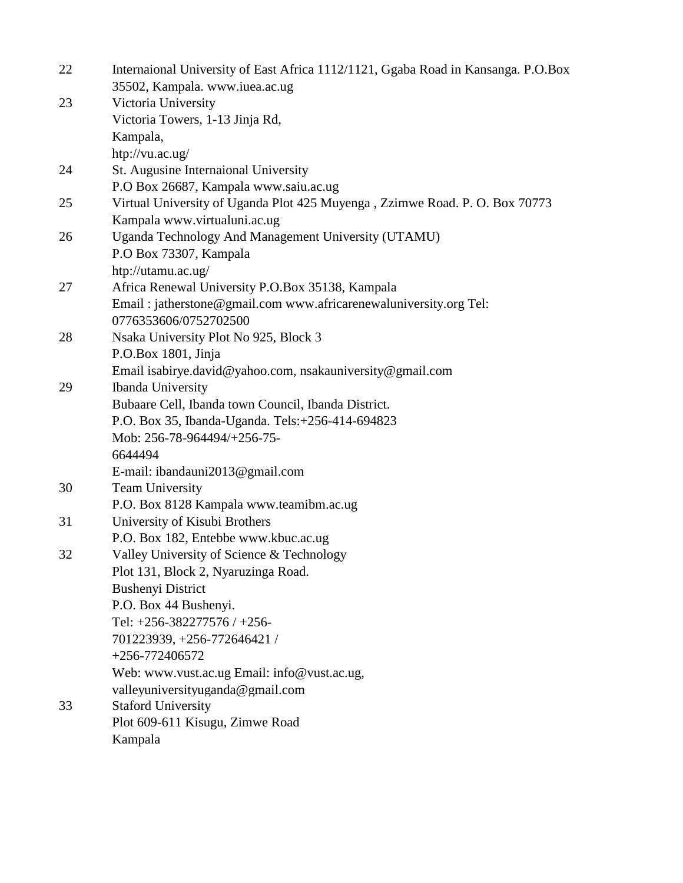| 22 | Internaional University of East Africa 1112/1121, Ggaba Road in Kansanga. P.O.Box<br>35502, Kampala. www.iuea.ac.ug |
|----|---------------------------------------------------------------------------------------------------------------------|
| 23 | Victoria University                                                                                                 |
|    | Victoria Towers, 1-13 Jinja Rd,                                                                                     |
|    | Kampala,                                                                                                            |
|    | htp://vu.ac.ug/                                                                                                     |
| 24 | St. Augusine Internaional University                                                                                |
|    | P.O Box 26687, Kampala www.saiu.ac.ug                                                                               |
| 25 | Virtual University of Uganda Plot 425 Muyenga, Zzimwe Road. P. O. Box 70773                                         |
|    | Kampala www.virtualuni.ac.ug                                                                                        |
| 26 | Uganda Technology And Management University (UTAMU)                                                                 |
|    | P.O Box 73307, Kampala                                                                                              |
|    | htp://utamu.ac.ug/                                                                                                  |
| 27 | Africa Renewal University P.O.Box 35138, Kampala                                                                    |
|    | Email: jatherstone@gmail.com www.africarenewaluniversity.org Tel:                                                   |
|    | 0776353606/0752702500                                                                                               |
| 28 | Nsaka University Plot No 925, Block 3                                                                               |
|    | P.O.Box 1801, Jinja                                                                                                 |
|    | Email isabirye.david@yahoo.com, nsakauniversity@gmail.com                                                           |
| 29 | <b>Ibanda University</b>                                                                                            |
|    | Bubaare Cell, Ibanda town Council, Ibanda District.                                                                 |
|    | P.O. Box 35, Ibanda-Uganda. Tels:+256-414-694823                                                                    |
|    | Mob: 256-78-964494/+256-75-                                                                                         |
|    | 6644494                                                                                                             |
|    | E-mail: ibandauni2013@gmail.com                                                                                     |
| 30 | <b>Team University</b>                                                                                              |
|    | P.O. Box 8128 Kampala www.teamibm.ac.ug                                                                             |
| 31 | University of Kisubi Brothers                                                                                       |
|    | P.O. Box 182, Entebbe www.kbuc.ac.ug                                                                                |
| 32 | Valley University of Science & Technology                                                                           |
|    | Plot 131, Block 2, Nyaruzinga Road.                                                                                 |
|    | <b>Bushenyi District</b>                                                                                            |
|    | P.O. Box 44 Bushenyi.                                                                                               |
|    | Tel: +256-382277576 / +256-                                                                                         |
|    | 701223939, +256-772646421 /                                                                                         |
|    | $+256-772406572$                                                                                                    |
|    | Web: www.vust.ac.ug Email: info@vust.ac.ug,                                                                         |
|    | valleyuniversityuganda@gmail.com                                                                                    |
| 33 | <b>Staford University</b>                                                                                           |
|    | Plot 609-611 Kisugu, Zimwe Road                                                                                     |
|    | Kampala                                                                                                             |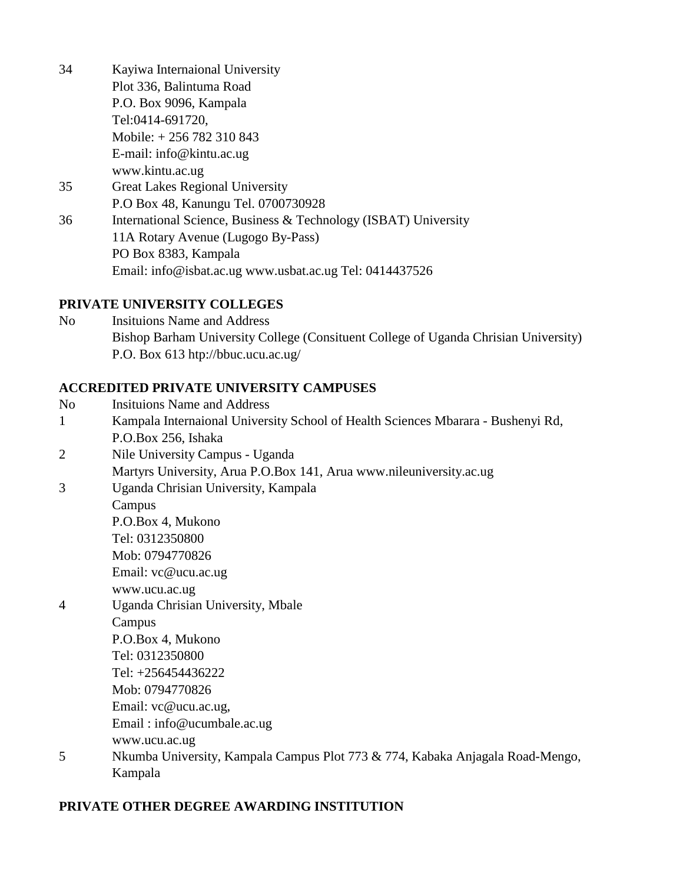34 Kayiwa Internaional University Plot 336, Balintuma Road P.O. Box 9096, Kampala Tel:0414-691720, Mobile: + 256 782 310 843 E-mail: info@kintu.ac.ug www.kintu.ac.ug 35 Great Lakes Regional University P.O Box 48, Kanungu Tel. 0700730928 36 International Science, Business & Technology (ISBAT) University 11A Rotary Avenue (Lugogo By-Pass) PO Box 8383, Kampala Email: info@isbat.ac.ug www.usbat.ac.ug Tel: 0414437526

### **PRIVATE UNIVERSITY COLLEGES**

No Insituions Name and Address Bishop Barham University College (Consituent College of Uganda Chrisian University) P.O. Box 613 htp://bbuc.ucu.ac.ug/

## **ACCREDITED PRIVATE UNIVERSITY CAMPUSES**

- No Insituions Name and Address
- 1 Kampala Internaional University School of Health Sciences Mbarara Bushenyi Rd, P.O.Box 256, Ishaka
- 2 Nile University Campus Uganda Martyrs University, Arua P.O.Box 141, Arua www.nileuniversity.ac.ug
- 3 Uganda Chrisian University, Kampala Campus P.O.Box 4, Mukono Tel: 0312350800 Mob: 0794770826 Email: vc@ucu.ac.ug www.ucu.ac.ug 4 Uganda Chrisian University, Mbale Campus P.O.Box 4, Mukono
	- Tel: 0312350800
	- Tel: +256454436222
	-
	- Mob: 0794770826
	- Email: vc@ucu.ac.ug,
	- Email : info@ucumbale.ac.ug
	- www.ucu.ac.ug
- 5 Nkumba University, Kampala Campus Plot 773 & 774, Kabaka Anjagala Road-Mengo, Kampala

## **PRIVATE OTHER DEGREE AWARDING INSTITUTION**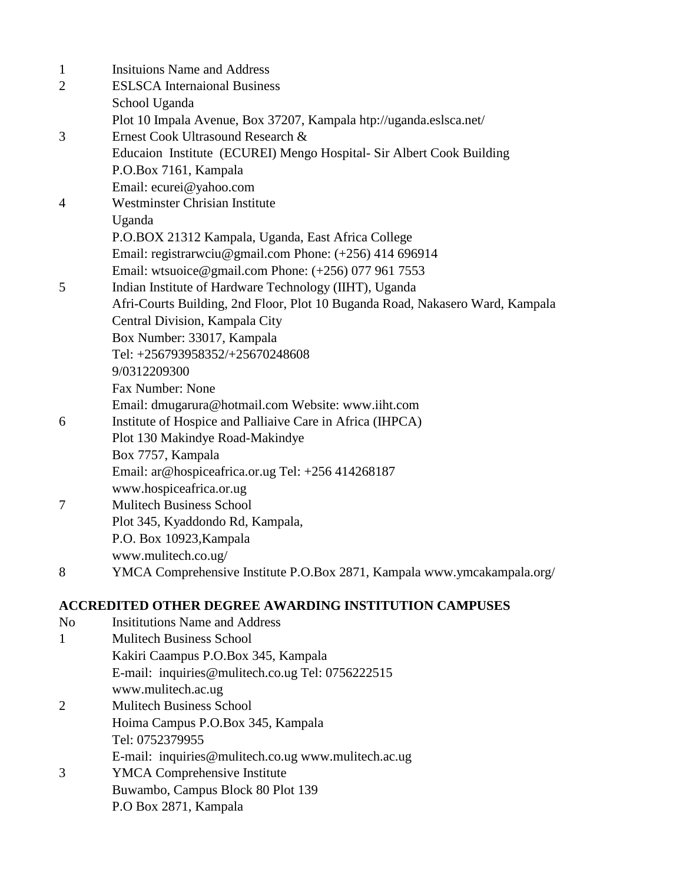| $\mathbf{1}$   | <b>Insituions Name and Address</b>                                            |
|----------------|-------------------------------------------------------------------------------|
| $\overline{2}$ | <b>ESLSCA</b> Internaional Business                                           |
|                | School Uganda                                                                 |
|                | Plot 10 Impala Avenue, Box 37207, Kampala htp://uganda.eslsca.net/            |
| 3              | Ernest Cook Ultrasound Research &                                             |
|                | Educaion Institute (ECUREI) Mengo Hospital- Sir Albert Cook Building          |
|                | P.O.Box 7161, Kampala                                                         |
|                | Email: ecurei@yahoo.com                                                       |
| 4              | <b>Westminster Chrisian Institute</b>                                         |
|                | Uganda                                                                        |
|                | P.O.BOX 21312 Kampala, Uganda, East Africa College                            |
|                | Email: registrarwciu@gmail.com Phone: (+256) 414 696914                       |
|                | Email: wtsuoice@gmail.com Phone: $(+256)$ 077 961 7553                        |
| 5              | Indian Institute of Hardware Technology (IIHT), Uganda                        |
|                | Afri-Courts Building, 2nd Floor, Plot 10 Buganda Road, Nakasero Ward, Kampala |
|                | Central Division, Kampala City                                                |
|                | Box Number: 33017, Kampala                                                    |
|                | Tel: +256793958352/+25670248608                                               |
|                | 9/0312209300                                                                  |
|                | Fax Number: None                                                              |
|                | Email: dmugarura@hotmail.com Website: www.iiht.com                            |
| 6              | Institute of Hospice and Palliaive Care in Africa (IHPCA)                     |
|                | Plot 130 Makindye Road-Makindye                                               |
|                | Box 7757, Kampala                                                             |
|                | Email: ar@hospiceafrica.or.ug Tel: +256 414268187                             |
|                | www.hospiceafrica.or.ug                                                       |
| $\tau$         | <b>Mulitech Business School</b>                                               |
|                | Plot 345, Kyaddondo Rd, Kampala,                                              |
|                | P.O. Box 10923, Kampala                                                       |
|                | www.mulitech.co.ug/                                                           |
| 8              | YMCA Comprehensive Institute P.O.Box 2871, Kampala www.ymcakampala.org/       |
|                |                                                                               |

# **ACCREDITED OTHER DEGREE AWARDING INSTITUTION CAMPUSES**

- No Insititutions Name and Address 1 Mulitech Business School Kakiri Caampus P.O.Box 345, Kampala E-mail: inquiries@mulitech.co.ug Tel: 0756222515 www.mulitech.ac.ug 2 Mulitech Business School
- Hoima Campus P.O.Box 345, Kampala Tel: 0752379955

E-mail: inquiries@mulitech.co.ug www.mulitech.ac.ug

3 YMCA Comprehensive Institute Buwambo, Campus Block 80 Plot 139 P.O Box 2871, Kampala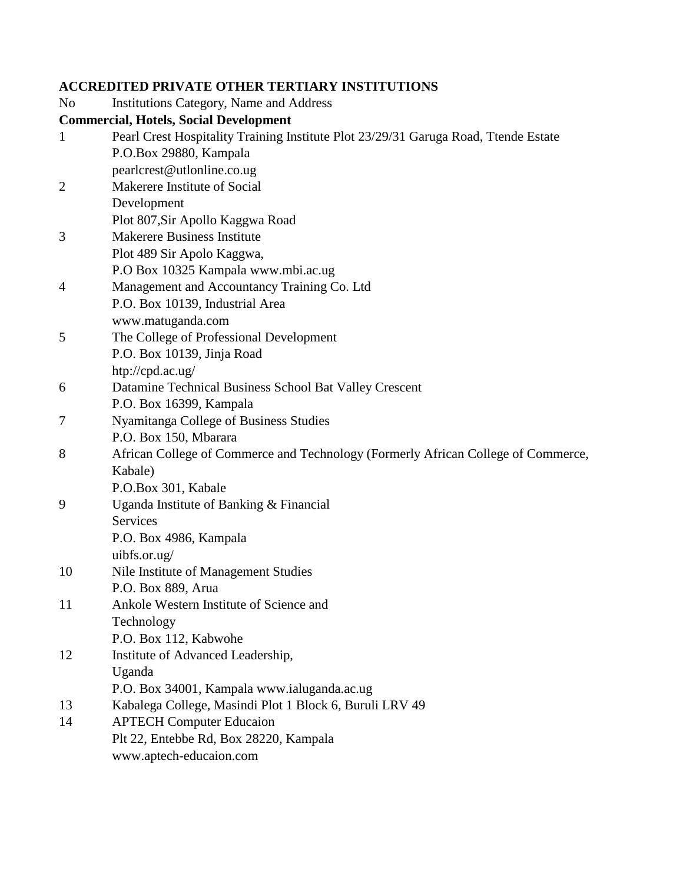### **ACCREDITED PRIVATE OTHER TERTIARY INSTITUTIONS**

- No Institutions Category, Name and Address **Commercial, Hotels, Social Development** 1 Pearl Crest Hospitality Training Institute Plot 23/29/31 Garuga Road, Ttende Estate P.O.Box 29880, Kampala pearlcrest@utlonline.co.ug 2 Makerere Institute of Social Development Plot 807,Sir Apollo Kaggwa Road 3 Makerere Business Institute Plot 489 Sir Apolo Kaggwa, P.O Box 10325 Kampala www.mbi.ac.ug 4 Management and Accountancy Training Co. Ltd P.O. Box 10139, Industrial Area www.matuganda.com 5 The College of Professional Development P.O. Box 10139, Jinja Road htp://cpd.ac.ug/ 6 Datamine Technical Business School Bat Valley Crescent P.O. Box 16399, Kampala 7 Nyamitanga College of Business Studies P.O. Box 150, Mbarara 8 African College of Commerce and Technology (Formerly African College of Commerce, Kabale) P.O.Box 301, Kabale 9 Uganda Institute of Banking & Financial Services P.O. Box 4986, Kampala uibfs.or.ug/ 10 Nile Institute of Management Studies P.O. Box 889, Arua 11 Ankole Western Institute of Science and Technology P.O. Box 112, Kabwohe 12 Institute of Advanced Leadership, Uganda P.O. Box 34001, Kampala www.ialuganda.ac.ug 13 Kabalega College, Masindi Plot 1 Block 6, Buruli LRV 49 14 APTECH Computer Educaion
	- Plt 22, Entebbe Rd, Box 28220, Kampala
		- www.aptech-educaion.com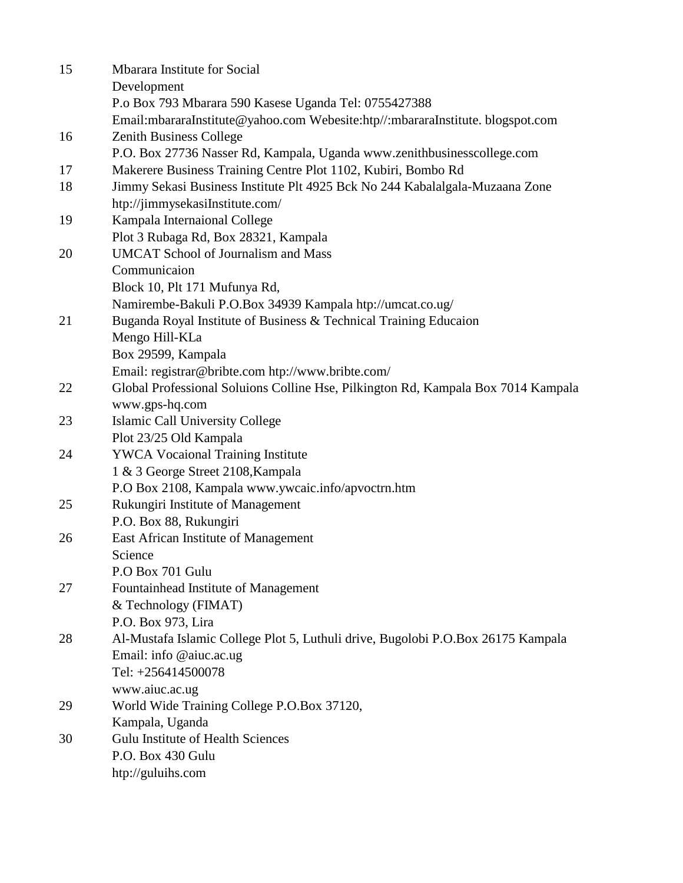| 15 | Mbarara Institute for Social                                                            |
|----|-----------------------------------------------------------------------------------------|
|    | Development                                                                             |
|    | P.o Box 793 Mbarara 590 Kasese Uganda Tel: 0755427388                                   |
|    | Email:mbararaInstitute@yahoo.com Webesite:htp//:mbararaInstitute.blogspot.com           |
| 16 | Zenith Business College                                                                 |
|    | P.O. Box 27736 Nasser Rd, Kampala, Uganda www.zenithbusinesscollege.com                 |
| 17 | Makerere Business Training Centre Plot 1102, Kubiri, Bombo Rd                           |
| 18 | Jimmy Sekasi Business Institute Plt 4925 Bck No 244 Kabalalgala-Muzaana Zone            |
|    | htp://jimmysekasiInstitute.com/                                                         |
| 19 | Kampala Internaional College                                                            |
|    | Plot 3 Rubaga Rd, Box 28321, Kampala                                                    |
| 20 | <b>UMCAT School of Journalism and Mass</b>                                              |
|    | Communicaion                                                                            |
|    | Block 10, Plt 171 Mufunya Rd,                                                           |
|    | Namirembe-Bakuli P.O.Box 34939 Kampala htp://umcat.co.ug/                               |
| 21 | Buganda Royal Institute of Business & Technical Training Educaion                       |
|    | Mengo Hill-KLa                                                                          |
|    | Box 29599, Kampala                                                                      |
|    | Email: registrar@bribte.com htp://www.bribte.com/                                       |
| 22 | Global Professional Soluions Colline Hse, Pilkington Rd, Kampala Box 7014 Kampala       |
|    | www.gps-hq.com                                                                          |
| 23 | Islamic Call University College                                                         |
|    | Plot 23/25 Old Kampala                                                                  |
| 24 | <b>YWCA Vocaional Training Institute</b>                                                |
|    | 1 & 3 George Street 2108, Kampala                                                       |
|    | P.O Box 2108, Kampala www.ywcaic.info/apvoctrn.htm<br>Rukungiri Institute of Management |
| 25 | P.O. Box 88, Rukungiri                                                                  |
| 26 | East African Institute of Management                                                    |
|    | Science                                                                                 |
|    | P.O Box 701 Gulu                                                                        |
| 27 | Fountainhead Institute of Management                                                    |
|    | & Technology (FIMAT)                                                                    |
|    | P.O. Box 973, Lira                                                                      |
| 28 | Al-Mustafa Islamic College Plot 5, Luthuli drive, Bugolobi P.O.Box 26175 Kampala        |
|    | Email: info @aiuc.ac.ug                                                                 |
|    | Tel: +256414500078                                                                      |
|    | www.aiuc.ac.ug                                                                          |
| 29 | World Wide Training College P.O.Box 37120,                                              |
|    | Kampala, Uganda                                                                         |
| 30 | <b>Gulu Institute of Health Sciences</b>                                                |
|    | P.O. Box 430 Gulu                                                                       |
|    | htp://guluihs.com                                                                       |
|    |                                                                                         |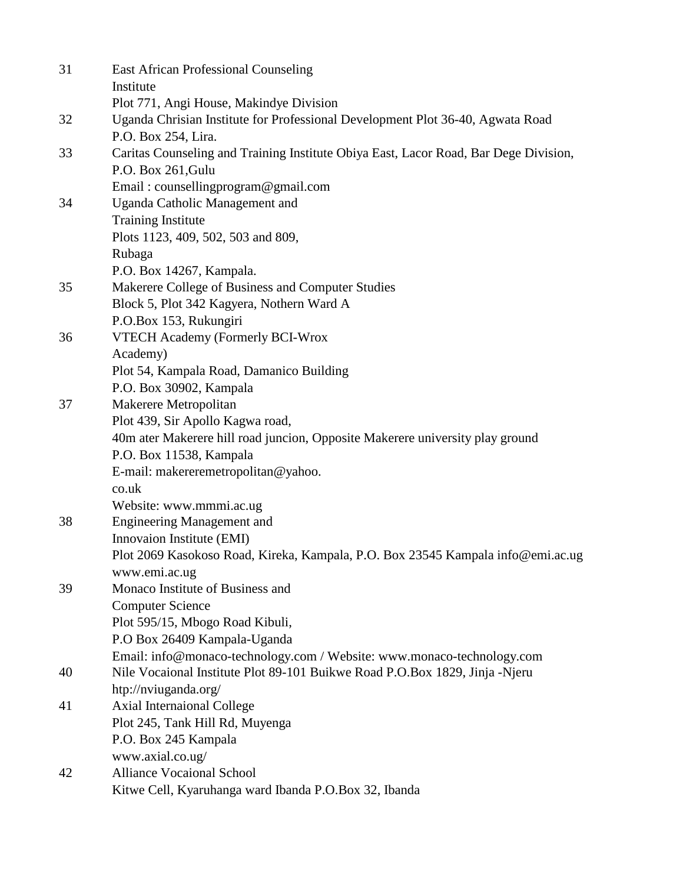| 31 | <b>East African Professional Counseling</b>                                          |
|----|--------------------------------------------------------------------------------------|
|    | Institute                                                                            |
|    | Plot 771, Angi House, Makindye Division                                              |
| 32 | Uganda Chrisian Institute for Professional Development Plot 36-40, Agwata Road       |
|    | P.O. Box 254, Lira.                                                                  |
| 33 | Caritas Counseling and Training Institute Obiya East, Lacor Road, Bar Dege Division, |
|    | P.O. Box 261, Gulu                                                                   |
|    | Email: counsellingprogram@gmail.com                                                  |
| 34 | Uganda Catholic Management and                                                       |
|    | <b>Training Institute</b>                                                            |
|    | Plots 1123, 409, 502, 503 and 809,                                                   |
|    | Rubaga                                                                               |
|    | P.O. Box 14267, Kampala.                                                             |
| 35 | Makerere College of Business and Computer Studies                                    |
|    | Block 5, Plot 342 Kagyera, Nothern Ward A                                            |
|    | P.O.Box 153, Rukungiri                                                               |
| 36 | VTECH Academy (Formerly BCI-Wrox                                                     |
|    | Academy)                                                                             |
|    | Plot 54, Kampala Road, Damanico Building                                             |
|    | P.O. Box 30902, Kampala                                                              |
| 37 | Makerere Metropolitan                                                                |
|    | Plot 439, Sir Apollo Kagwa road,                                                     |
|    | 40m ater Makerere hill road juncion, Opposite Makerere university play ground        |
|    | P.O. Box 11538, Kampala                                                              |
|    | E-mail: makereremetropolitan@yahoo.                                                  |
|    | co.uk                                                                                |
|    | Website: www.mmmi.ac.ug                                                              |
| 38 | <b>Engineering Management and</b>                                                    |
|    | Innovaion Institute (EMI)                                                            |
|    | Plot 2069 Kasokoso Road, Kireka, Kampala, P.O. Box 23545 Kampala info@emi.ac.ug      |
|    | www.emi.ac.ug                                                                        |
| 39 | Monaco Institute of Business and                                                     |
|    | <b>Computer Science</b>                                                              |
|    | Plot 595/15, Mbogo Road Kibuli,                                                      |
|    | P.O Box 26409 Kampala-Uganda                                                         |
|    | Email: info@monaco-technology.com / Website: www.monaco-technology.com               |
| 40 | Nile Vocaional Institute Plot 89-101 Buikwe Road P.O.Box 1829, Jinja -Njeru          |
|    | htp://nviuganda.org/                                                                 |
| 41 | <b>Axial Internaional College</b>                                                    |
|    | Plot 245, Tank Hill Rd, Muyenga                                                      |
|    | P.O. Box 245 Kampala                                                                 |
|    | www.axial.co.ug/                                                                     |
| 42 | <b>Alliance Vocaional School</b>                                                     |
|    | Kitwe Cell, Kyaruhanga ward Ibanda P.O.Box 32, Ibanda                                |
|    |                                                                                      |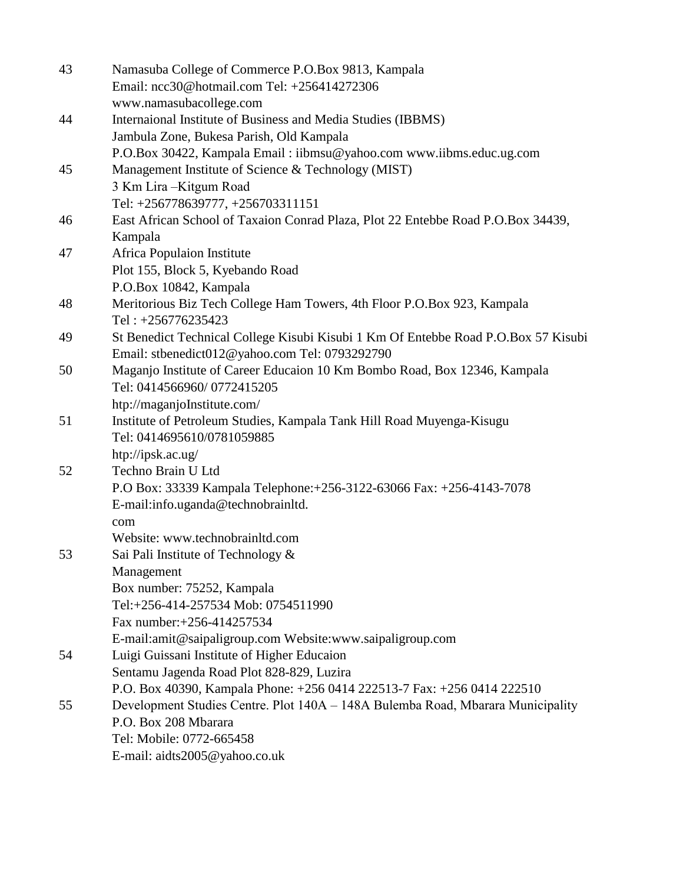| 43 | Namasuba College of Commerce P.O.Box 9813, Kampala<br>Email: ncc30@hotmail.com Tel: +256414272306 |
|----|---------------------------------------------------------------------------------------------------|
|    | www.namasubacollege.com                                                                           |
| 44 | Internaional Institute of Business and Media Studies (IBBMS)                                      |
|    | Jambula Zone, Bukesa Parish, Old Kampala                                                          |
|    | P.O.Box 30422, Kampala Email: iibmsu@yahoo.com www.iibms.educ.ug.com                              |
| 45 | Management Institute of Science & Technology (MIST)                                               |
|    | 3 Km Lira-Kitgum Road                                                                             |
|    | Tel: +256778639777, +256703311151                                                                 |
| 46 | East African School of Taxaion Conrad Plaza, Plot 22 Entebbe Road P.O.Box 34439,                  |
|    | Kampala                                                                                           |
| 47 | Africa Populaion Institute                                                                        |
|    | Plot 155, Block 5, Kyebando Road                                                                  |
|    | P.O.Box 10842, Kampala                                                                            |
| 48 | Meritorious Biz Tech College Ham Towers, 4th Floor P.O.Box 923, Kampala                           |
|    | Tel: $+256776235423$                                                                              |
| 49 | St Benedict Technical College Kisubi Kisubi 1 Km Of Entebbe Road P.O.Box 57 Kisubi                |
|    | Email: stbenedict012@yahoo.com Tel: 0793292790                                                    |
| 50 | Maganjo Institute of Career Educaion 10 Km Bombo Road, Box 12346, Kampala                         |
|    | Tel: 0414566960/0772415205                                                                        |
|    | htp://maganjoInstitute.com/                                                                       |
| 51 | Institute of Petroleum Studies, Kampala Tank Hill Road Muyenga-Kisugu                             |
|    | Tel: 0414695610/0781059885                                                                        |
|    | htp://ipsk.ac.ug/                                                                                 |
| 52 | Techno Brain U Ltd                                                                                |
|    | P.O Box: 33339 Kampala Telephone: +256-3122-63066 Fax: +256-4143-7078                             |
|    | E-mail:info.uganda@technobrainltd.                                                                |
|    | com                                                                                               |
|    | Website: www.technobrainltd.com                                                                   |
| 53 | Sai Pali Institute of Technology &                                                                |
|    | Management                                                                                        |
|    | Box number: 75252, Kampala                                                                        |
|    | Tel:+256-414-257534 Mob: 0754511990                                                               |
|    | Fax number: +256-414257534                                                                        |
|    | E-mail:amit@saipaligroup.com Website:www.saipaligroup.com                                         |
| 54 | Luigi Guissani Institute of Higher Educaion                                                       |
|    | Sentamu Jagenda Road Plot 828-829, Luzira                                                         |
|    | P.O. Box 40390, Kampala Phone: +256 0414 222513-7 Fax: +256 0414 222510                           |
| 55 | Development Studies Centre. Plot 140A - 148A Bulemba Road, Mbarara Municipality                   |
|    | P.O. Box 208 Mbarara                                                                              |
|    | Tel: Mobile: 0772-665458                                                                          |
|    | E-mail: aidts2005@yahoo.co.uk                                                                     |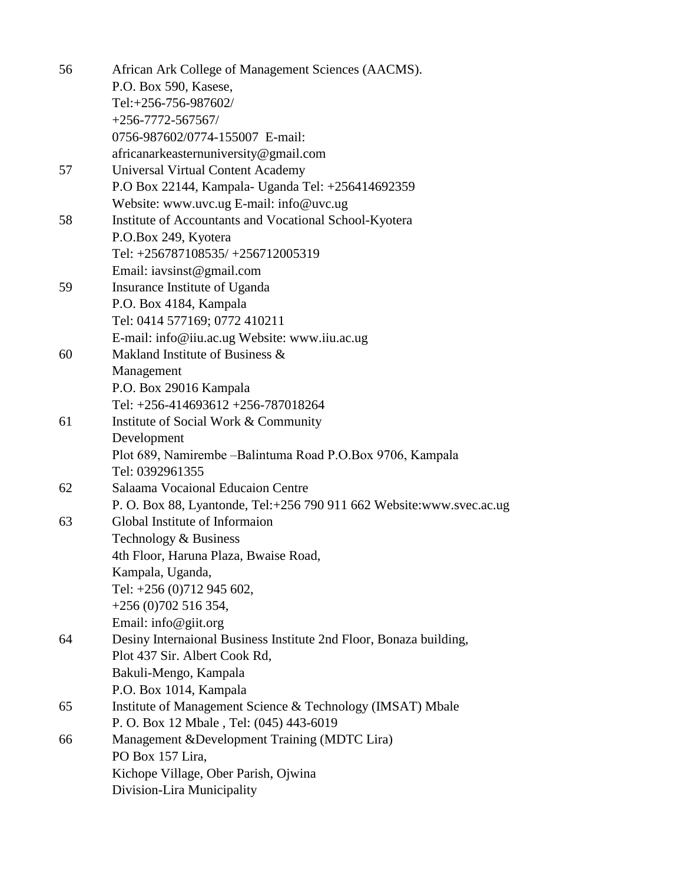| 56 | African Ark College of Management Sciences (AACMS).                  |
|----|----------------------------------------------------------------------|
|    | P.O. Box 590, Kasese,                                                |
|    | Tel:+256-756-987602/                                                 |
|    | $+256 - 7772 - 567567/$                                              |
|    | 0756-987602/0774-155007 E-mail:                                      |
|    | africanarkeasternuniversity@gmail.com                                |
| 57 | <b>Universal Virtual Content Academy</b>                             |
|    | P.O Box 22144, Kampala- Uganda Tel: +256414692359                    |
|    | Website: www.uvc.ug E-mail: info@uvc.ug                              |
| 58 | Institute of Accountants and Vocational School-Kyotera               |
|    | P.O.Box 249, Kyotera                                                 |
|    | Tel: +256787108535/ +256712005319                                    |
|    | Email: iavsinst@gmail.com                                            |
| 59 | Insurance Institute of Uganda                                        |
|    | P.O. Box 4184, Kampala                                               |
|    | Tel: 0414 577169; 0772 410211                                        |
|    | E-mail: info@iiu.ac.ug Website: www.iiu.ac.ug                        |
| 60 | Makland Institute of Business &                                      |
|    | Management                                                           |
|    | P.O. Box 29016 Kampala                                               |
|    | Tel: +256-414693612 +256-787018264                                   |
| 61 | Institute of Social Work & Community                                 |
|    | Development                                                          |
|    | Plot 689, Namirembe - Balintuma Road P.O.Box 9706, Kampala           |
|    | Tel: 0392961355                                                      |
| 62 | Salaama Vocaional Educaion Centre                                    |
|    | P. O. Box 88, Lyantonde, Tel:+256 790 911 662 Website:www.svec.ac.ug |
| 63 | Global Institute of Informaion                                       |
|    | Technology & Business                                                |
|    | 4th Floor, Haruna Plaza, Bwaise Road,                                |
|    | Kampala, Uganda,                                                     |
|    | Tel: +256 (0)712 945 602,                                            |
|    | $+256(0)702516354,$                                                  |
|    | Email: info@giit.org                                                 |
| 64 | Desiny Internaional Business Institute 2nd Floor, Bonaza building,   |
|    | Plot 437 Sir. Albert Cook Rd,                                        |
|    | Bakuli-Mengo, Kampala                                                |
|    | P.O. Box 1014, Kampala                                               |
| 65 | Institute of Management Science & Technology (IMSAT) Mbale           |
|    | P. O. Box 12 Mbale, Tel: (045) 443-6019                              |
| 66 | Management & Development Training (MDTC Lira)                        |
|    | PO Box 157 Lira,                                                     |
|    | Kichope Village, Ober Parish, Ojwina                                 |
|    | Division-Lira Municipality                                           |
|    |                                                                      |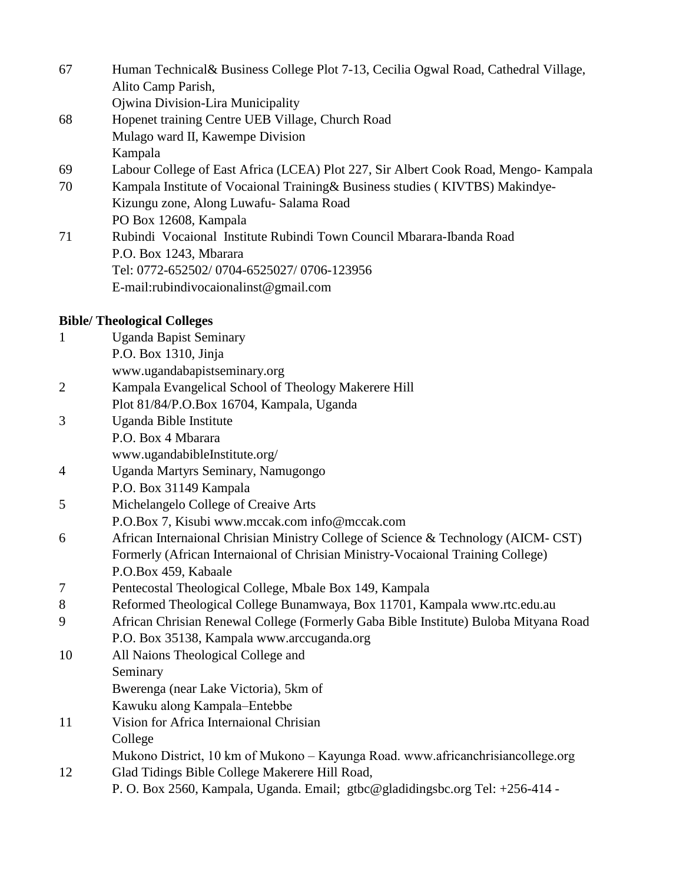| 67 | Human Technical & Business College Plot 7-13, Cecilia Ogwal Road, Cathedral Village, |
|----|--------------------------------------------------------------------------------------|
|    | Alito Camp Parish,                                                                   |
|    | Ojwina Division-Lira Municipality                                                    |
| 68 | Hopenet training Centre UEB Village, Church Road                                     |
|    | Mulago ward II, Kawempe Division                                                     |
|    | Kampala                                                                              |
| 69 | Labour College of East Africa (LCEA) Plot 227, Sir Albert Cook Road, Mengo- Kampala  |
| 70 | Kampala Institute of Vocaional Training & Business studies (KIVTBS) Makindye-        |
|    | Kizungu zone, Along Luwafu- Salama Road                                              |
|    | PO Box 12608, Kampala                                                                |
| 71 | Rubindi Vocaional Institute Rubindi Town Council Mbarara-Ibanda Road                 |
|    | P.O. Box 1243, Mbarara                                                               |
|    | Tel: 0772-652502/ 0704-6525027/ 0706-123956                                          |
|    | E-mail:rubindivocaionalinst@gmail.com                                                |
|    | <b>Bible/ Theological Colleges</b>                                                   |
| 1  | <b>Uganda Bapist Seminary</b>                                                        |
|    | P.O. Box 1310, Jinja                                                                 |

- www.ugandabapistseminary.org
- 2 Kampala Evangelical School of Theology Makerere Hill
- Plot 81/84/P.O.Box 16704, Kampala, Uganda
- 3 Uganda Bible Institute P.O. Box 4 Mbarara www.ugandabibleInstitute.org/
- 4 Uganda Martyrs Seminary, Namugongo P.O. Box 31149 Kampala
- 5 Michelangelo College of Creaive Arts
- P.O.Box 7, Kisubi www.mccak.com info@mccak.com
- 6 African Internaional Chrisian Ministry College of Science & Technology (AICM- CST) Formerly (African Internaional of Chrisian Ministry-Vocaional Training College) P.O.Box 459, Kabaale
- 7 Pentecostal Theological College, Mbale Box 149, Kampala
- 8 Reformed Theological College Bunamwaya, Box 11701, Kampala www.rtc.edu.au
- 9 African Chrisian Renewal College (Formerly Gaba Bible Institute) Buloba Mityana Road P.O. Box 35138, Kampala www.arccuganda.org
- 10 All Naions Theological College and Seminary
	- Bwerenga (near Lake Victoria), 5km of
	- Kawuku along Kampala–Entebbe
- 11 Vision for Africa Internaional Chrisian College
- Mukono District, 10 km of Mukono Kayunga Road. www.africanchrisiancollege.org 12 Glad Tidings Bible College Makerere Hill Road,
	- P. O. Box 2560, Kampala, Uganda. Email; gtbc@gladidingsbc.org Tel: +256-414 -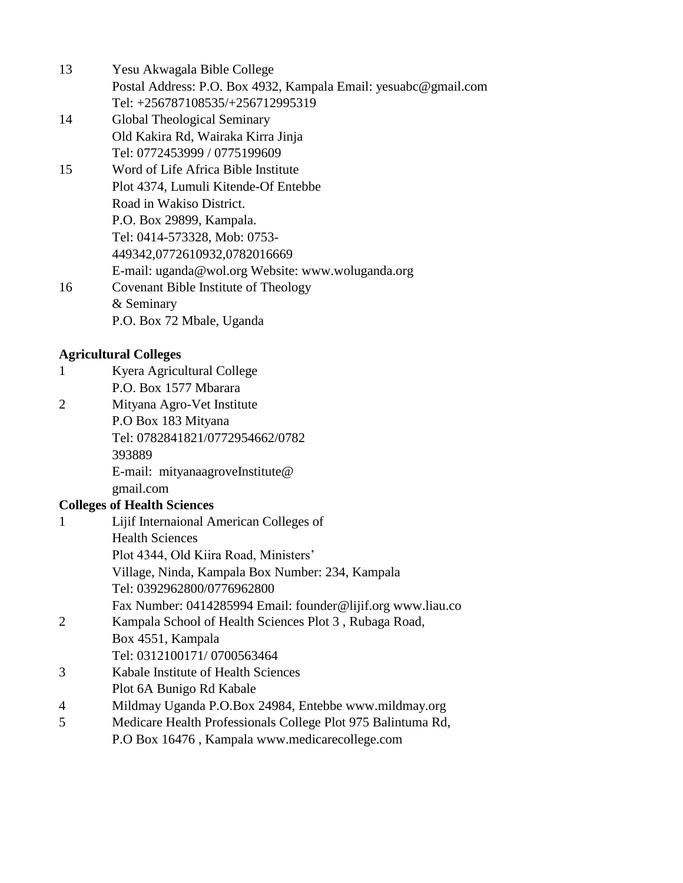- 13 Yesu Akwagala Bible College Postal Address: P.O. Box 4932, Kampala Email: yesuabc@gmail.com Tel: +256787108535/+256712995319
- 14 Global Theological Seminary Old Kakira Rd, Wairaka Kirra Jinja Tel: 0772453999 / 0775199609
- 15 Word of Life Africa Bible Institute Plot 4374, Lumuli Kitende-Of Entebbe Road in Wakiso District. P.O. Box 29899, Kampala. Tel: 0414-573328, Mob: 0753- 449342,0772610932,0782016669 E-mail: uganda@wol.org Website: www.woluganda.org 16 Covenant Bible Institute of Theology & Seminary P.O. Box 72 Mbale, Uganda

#### **Agricultural Colleges**

| Kyera Agricultural College |
|----------------------------|
| P.O. Box 1577 Mbarara      |

2 Mityana Agro-Vet Institute P.O Box 183 Mityana Tel: 0782841821/0772954662/0782 393889 E-mail: mityanaagroveInstitute@ gmail.com

#### **Colleges of Health Sciences**

| $\mathbf{1}$                | Lijif Internaional American Colleges of                     |
|-----------------------------|-------------------------------------------------------------|
|                             | <b>Health Sciences</b>                                      |
|                             | Plot 4344, Old Kiira Road, Ministers'                       |
|                             | Village, Ninda, Kampala Box Number: 234, Kampala            |
|                             | Tel: 0392962800/0776962800                                  |
|                             | Fax Number: 0414285994 Email: founder@lijif.org www.liau.co |
| $\mathcal{D}_{\mathcal{L}}$ | Kampala School of Health Sciences Plot 3, Rubaga Road,      |
|                             | Box 4551, Kampala                                           |
|                             | Tel: 0312100171/0700563464                                  |
| 3                           | Kabale Institute of Health Sciences                         |
|                             | Plot 6A Bunigo Rd Kabale                                    |
| $\overline{4}$              | Mildmay Uganda P.O.Box 24984, Entebbe www.mildmay.org       |

5 Medicare Health Professionals College Plot 975 Balintuma Rd, P.O Box 16476 , Kampala www.medicarecollege.com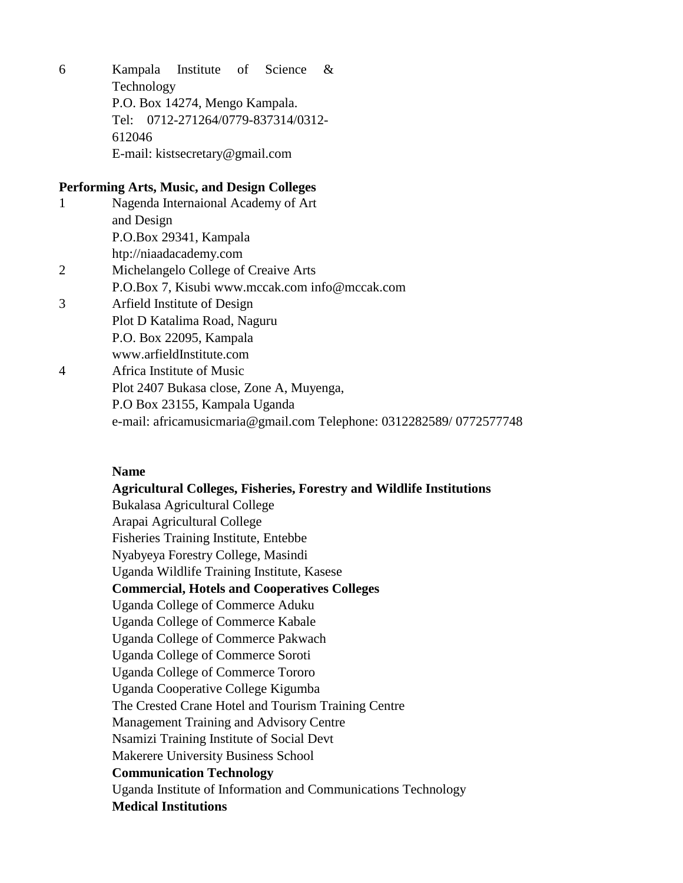6 Kampala Institute of Science & Technology P.O. Box 14274, Mengo Kampala. Tel: 0712-271264/0779-837314/0312- 612046 E-mail: kistsecretary@gmail.com

#### **Performing Arts, Music, and Design Colleges**

| 1 | Nagenda Internaional Academy of Art                                 |
|---|---------------------------------------------------------------------|
|   | and Design                                                          |
|   | P.O.Box 29341, Kampala                                              |
|   | htp://niaadacademy.com                                              |
|   | Michelangelo College of Creaive Arts                                |
|   | P.O.Box 7, Kisubi www.mccak.com info@mccak.com                      |
| 3 | Arfield Institute of Design                                         |
|   | Plot D Katalima Road, Naguru                                        |
|   | P.O. Box 22095, Kampala                                             |
|   | www.arfieldInstitute.com                                            |
| 4 | Africa Institute of Music                                           |
|   | Plot 2407 Bukasa close, Zone A, Muyenga,                            |
|   | P.O Box 23155, Kampala Uganda                                       |
|   | e-mail: africamusicmaria@gmail.com Telephone: 0312282589/0772577748 |

#### **Name**

#### **Agricultural Colleges, Fisheries, Forestry and Wildlife Institutions**

Bukalasa Agricultural College Arapai Agricultural College Fisheries Training Institute, Entebbe Nyabyeya Forestry College, Masindi Uganda Wildlife Training Institute, Kasese **Commercial, Hotels and Cooperatives Colleges** Uganda College of Commerce Aduku Uganda College of Commerce Kabale Uganda College of Commerce Pakwach Uganda College of Commerce Soroti Uganda College of Commerce Tororo Uganda Cooperative College Kigumba The Crested Crane Hotel and Tourism Training Centre Management Training and Advisory Centre Nsamizi Training Institute of Social Devt Makerere University Business School **Communication Technology** Uganda Institute of Information and Communications Technology **Medical Institutions**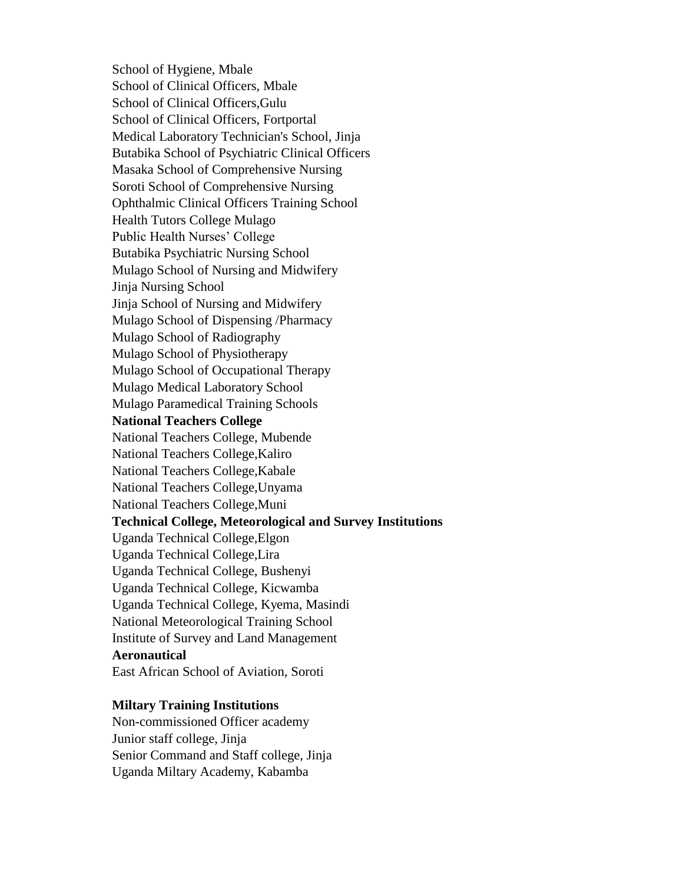School of Hygiene, Mbale School of Clinical Officers, Mbale School of Clinical Officers,Gulu School of Clinical Officers, Fortportal Medical Laboratory Technician's School, Jinja Butabika School of Psychiatric Clinical Officers Masaka School of Comprehensive Nursing Soroti School of Comprehensive Nursing Ophthalmic Clinical Officers Training School Health Tutors College Mulago Public Health Nurses' College Butabika Psychiatric Nursing School Mulago School of Nursing and Midwifery Jinja Nursing School Jinja School of Nursing and Midwifery Mulago School of Dispensing /Pharmacy Mulago School of Radiography Mulago School of Physiotherapy Mulago School of Occupational Therapy Mulago Medical Laboratory School Mulago Paramedical Training Schools **National Teachers College** National Teachers College, Mubende National Teachers College,Kaliro National Teachers College,Kabale National Teachers College,Unyama National Teachers College,Muni **Technical College, Meteorological and Survey Institutions** Uganda Technical College,Elgon Uganda Technical College,Lira Uganda Technical College, Bushenyi Uganda Technical College, Kicwamba Uganda Technical College, Kyema, Masindi National Meteorological Training School Institute of Survey and Land Management **Aeronautical** East African School of Aviation, Soroti

#### **Miltary Training Institutions**

Non-commissioned Officer academy Junior staff college, Jinja Senior Command and Staff college, Jinja Uganda Miltary Academy, Kabamba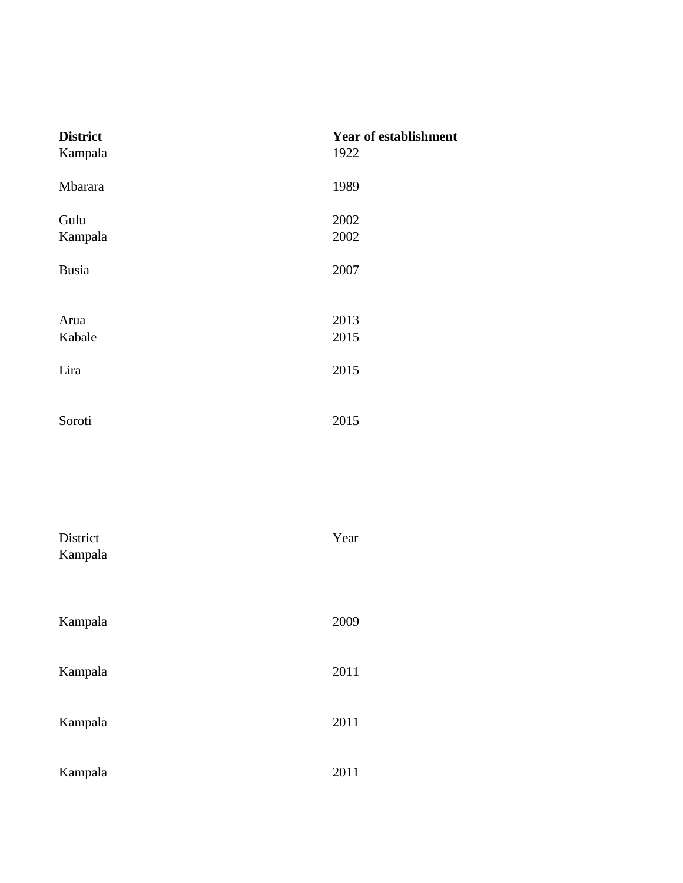| <b>District</b><br>Kampala | <b>Year of establishment</b><br>1922 |
|----------------------------|--------------------------------------|
| Mbarara                    | 1989                                 |
| Gulu<br>Kampala            | 2002<br>2002                         |
| <b>Busia</b>               | 2007                                 |
| Arua<br>Kabale             | 2013<br>2015                         |
| Lira                       | 2015                                 |
| Soroti                     | 2015                                 |

| District<br>Kampala | Year |
|---------------------|------|
|                     |      |
| Kampala             | 2009 |
| Kampala             | 2011 |
| Kampala             | 2011 |
| Kampala             | 2011 |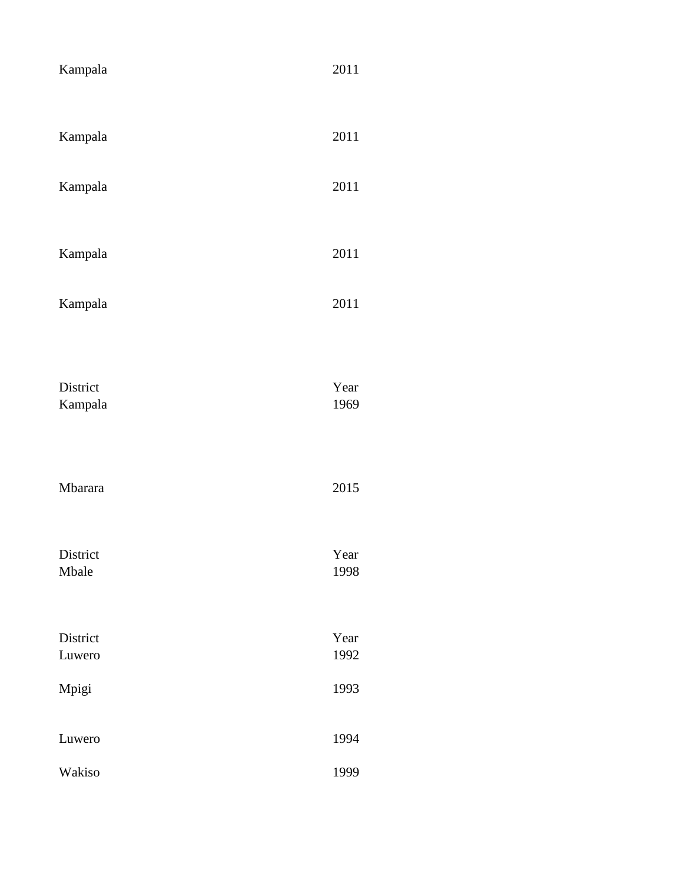| Kampala             | 2011         |
|---------------------|--------------|
| Kampala             | 2011         |
| Kampala             | 2011         |
| Kampala             | 2011         |
| Kampala             | 2011         |
| District<br>Kampala | Year<br>1969 |
| Mbarara             | 2015         |
| District<br>Mbale   | Year<br>1998 |
| District<br>Luwero  | Year<br>1992 |
| Mpigi               | 1993         |
| Luwero              | 1994         |
| Wakiso              | 1999         |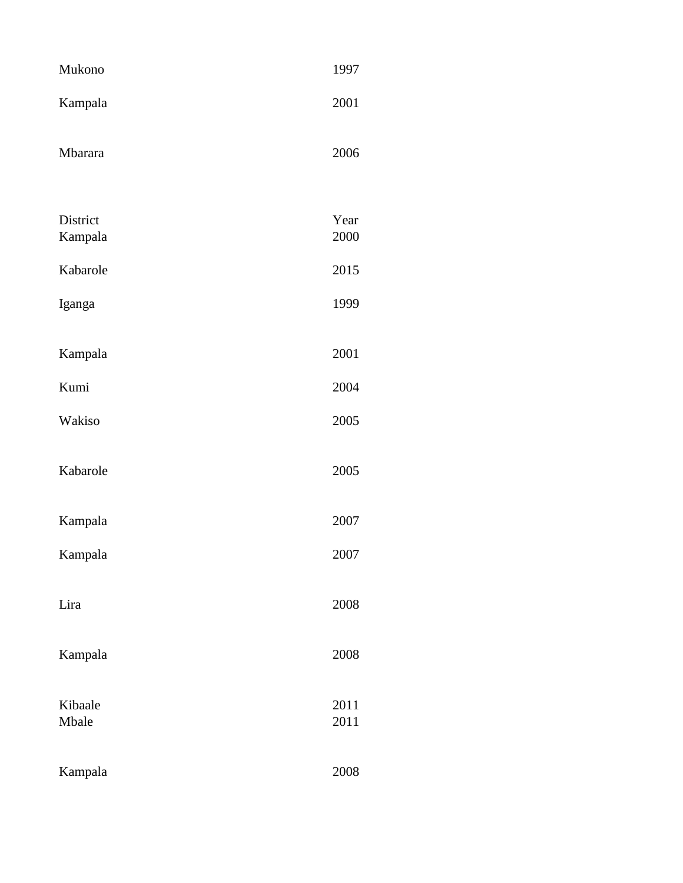| Mukono              | 1997         |
|---------------------|--------------|
| Kampala             | 2001         |
| Mbarara             | 2006         |
| District<br>Kampala | Year<br>2000 |
| Kabarole            | 2015         |
| Iganga              | 1999         |
| Kampala             | 2001         |
| Kumi                | 2004         |
| Wakiso              | 2005         |
| Kabarole            | 2005         |
| Kampala             | 2007         |
| Kampala             | 2007         |
| Lira                | 2008         |
| Kampala             | 2008         |
| Kibaale<br>Mbale    | 2011<br>2011 |
| Kampala             | 2008         |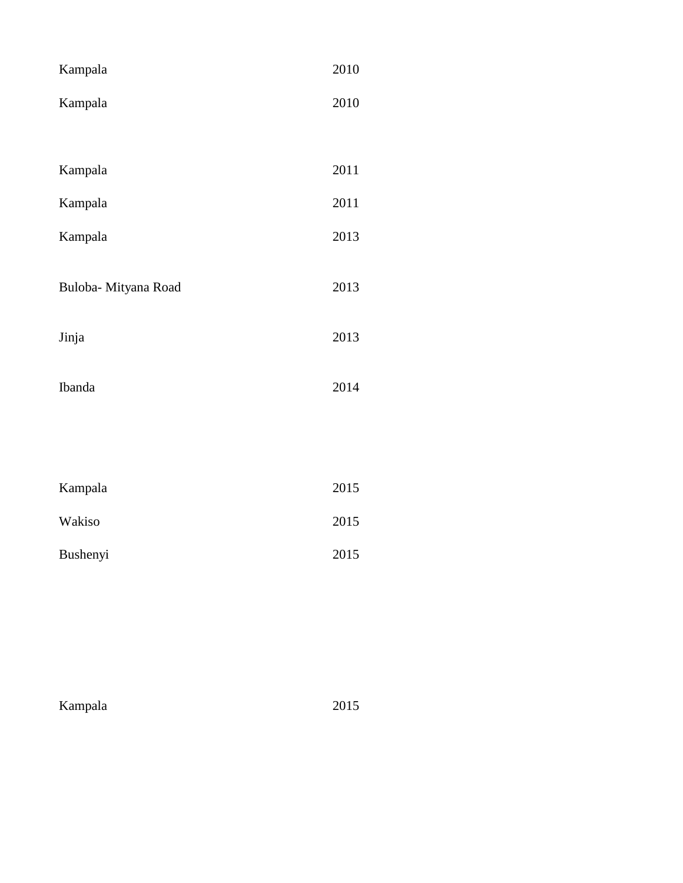| Kampala              | 2010 |
|----------------------|------|
| Kampala              | 2010 |
|                      |      |
| Kampala              | 2011 |
| Kampala              | 2011 |
| Kampala              | 2013 |
| Buloba- Mityana Road | 2013 |
| Jinja                | 2013 |
| Ibanda               | 2014 |
|                      |      |
| Kampala              | 2015 |
| Wakiso               | 2015 |
| Bushenyi             | 2015 |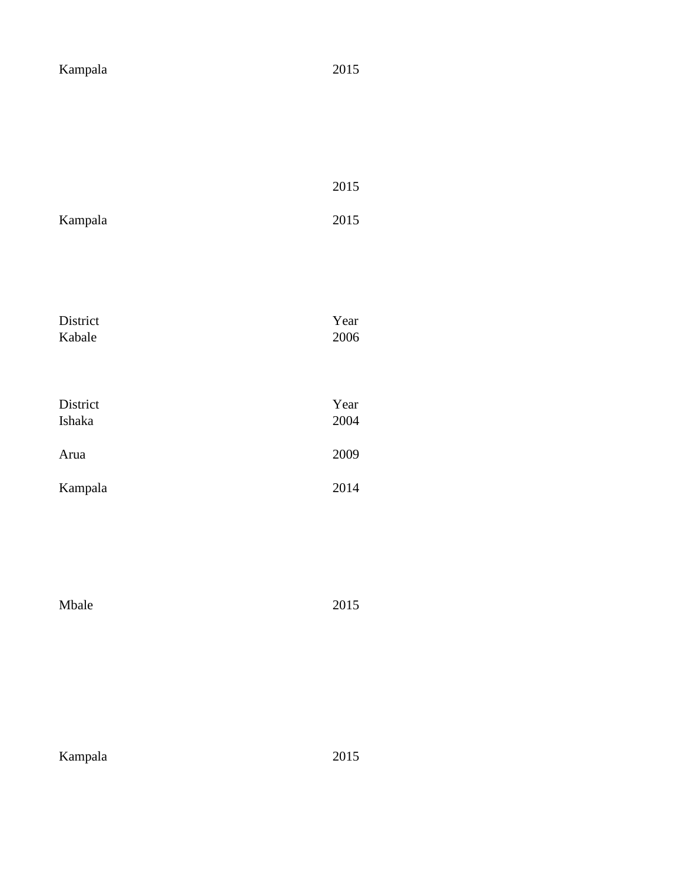| Kampala  | 2015     |
|----------|----------|
|          |          |
|          |          |
|          |          |
|          |          |
|          | 2015     |
| Kampala  | 2015     |
|          |          |
|          |          |
|          |          |
| District | Year     |
| Kabale   | 2006     |
|          |          |
| District | Year     |
| Ishaka   | 2004     |
| Arua     | 2009     |
|          |          |
| Kampala  | 2014     |
|          |          |
|          |          |
|          |          |
| Mbale    | $2015\,$ |
|          |          |
|          |          |
|          |          |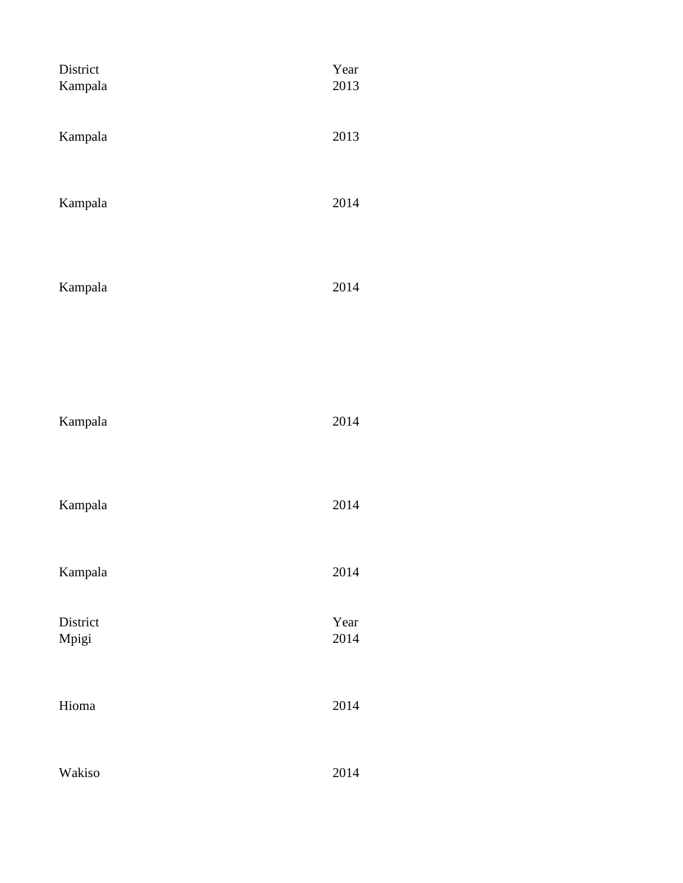| District<br>Kampala | Year<br>2013 |
|---------------------|--------------|
| Kampala             | 2013         |
| Kampala             | 2014         |
| Kampala             | 2014         |
|                     |              |
| Kampala             | 2014         |
| Kampala             | 2014         |
| Kampala             | 2014         |
| District<br>Mpigi   | Year<br>2014 |
| Hioma               | 2014         |
| Wakiso              | 2014         |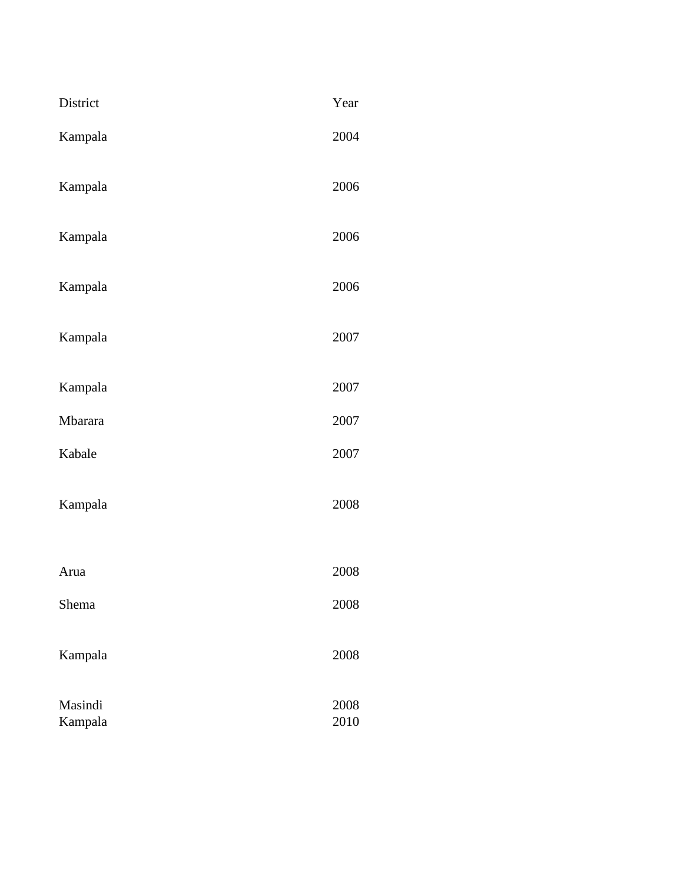| District           | Year         |
|--------------------|--------------|
| Kampala            | 2004         |
| Kampala            | 2006         |
| Kampala            | 2006         |
| Kampala            | 2006         |
| Kampala            | 2007         |
| Kampala            | 2007         |
| Mbarara            | 2007         |
| Kabale             | 2007         |
| Kampala            | 2008         |
| Arua               | 2008         |
| Shema              | 2008         |
| Kampala            | 2008         |
| Masindi<br>Kampala | 2008<br>2010 |
|                    |              |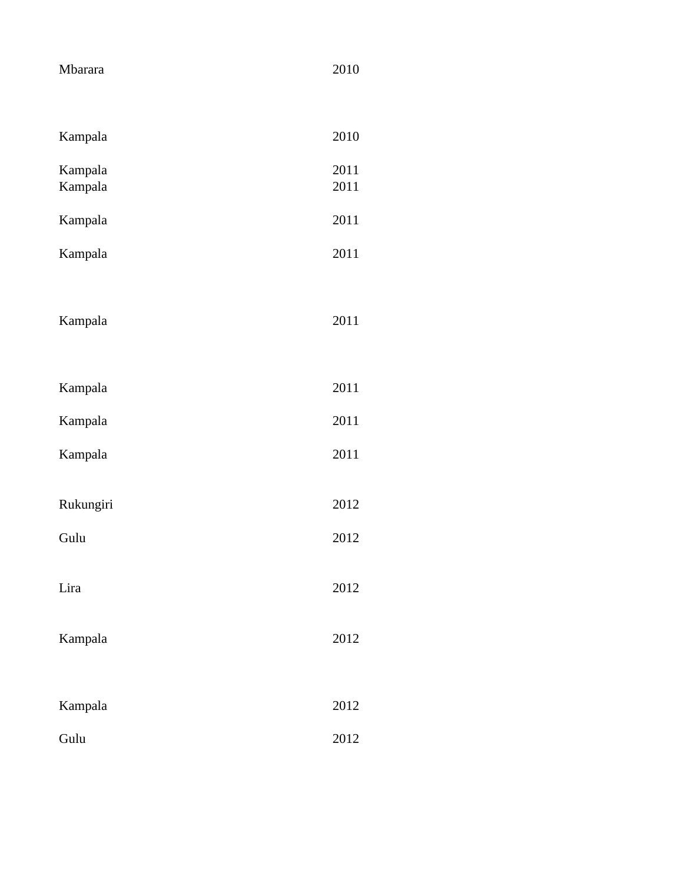| Mbarara   | 2010 |
|-----------|------|
|           |      |
| Kampala   | 2010 |
| Kampala   | 2011 |
| Kampala   | 2011 |
| Kampala   | 2011 |
| Kampala   | 2011 |
|           |      |
| Kampala   | 2011 |
|           |      |
| Kampala   | 2011 |
| Kampala   | 2011 |
| Kampala   | 2011 |
|           |      |
| Rukungiri | 2012 |
| Gulu      | 2012 |
|           |      |
| Lira      | 2012 |
| Kampala   | 2012 |
|           |      |
| Kampala   | 2012 |
| Gulu      | 2012 |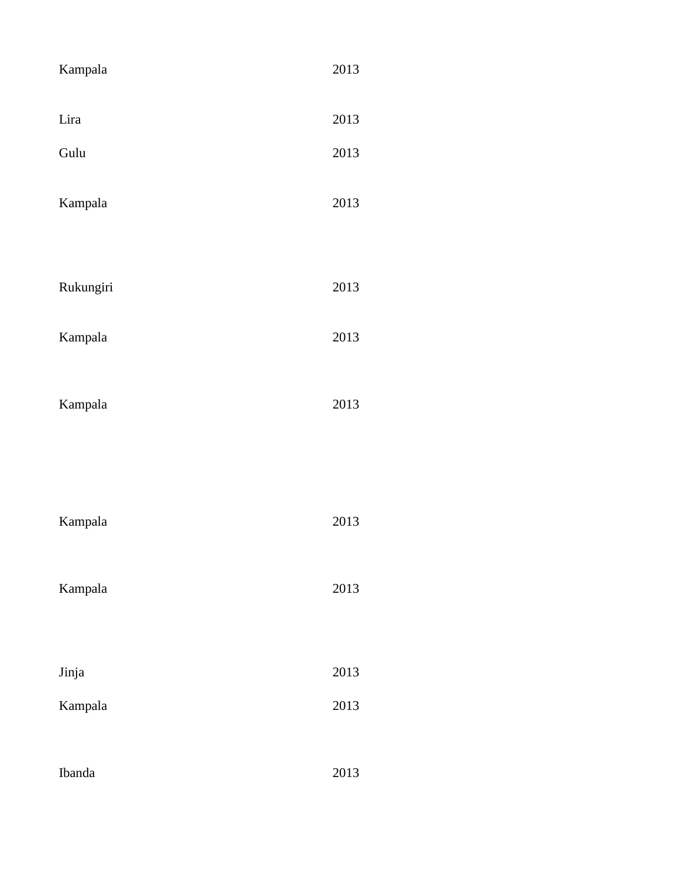| Kampala   | 2013 |
|-----------|------|
| Lira      | 2013 |
| Gulu      | 2013 |
| Kampala   | 2013 |
|           |      |
| Rukungiri | 2013 |
| Kampala   | 2013 |
| Kampala   | 2013 |
|           |      |
| Kampala   | 2013 |
| Kampala   | 2013 |
|           |      |
| Jinja     | 2013 |
| Kampala   | 2013 |
|           |      |
| Ibanda    | 2013 |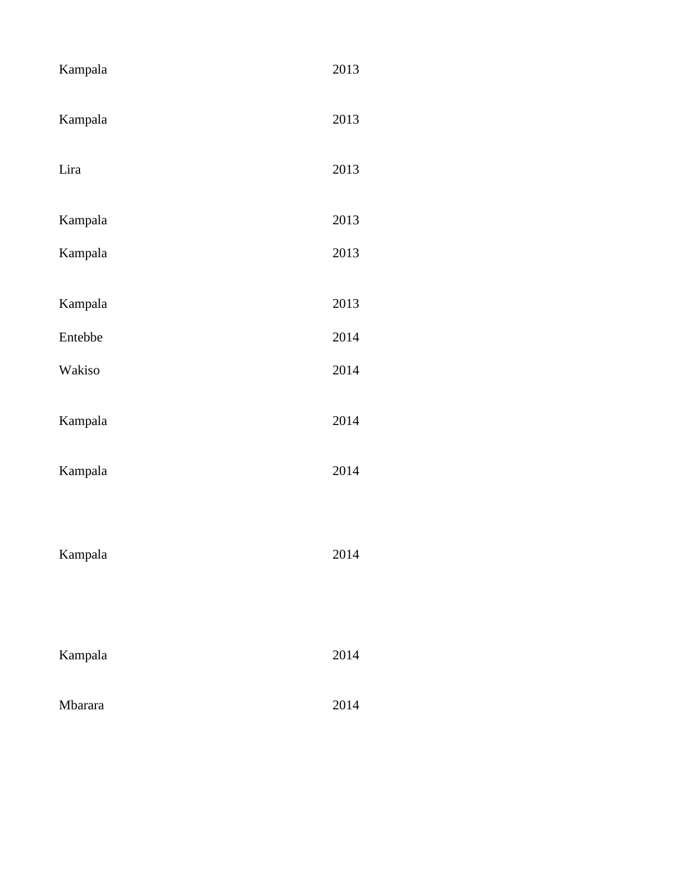| Kampala | 2013 |
|---------|------|
| Kampala | 2013 |
| Lira    | 2013 |
| Kampala | 2013 |
| Kampala | 2013 |
| Kampala | 2013 |
| Entebbe | 2014 |
| Wakiso  | 2014 |
|         |      |
| Kampala | 2014 |
| Kampala | 2014 |
| Kampala | 2014 |
| Kampala | 2014 |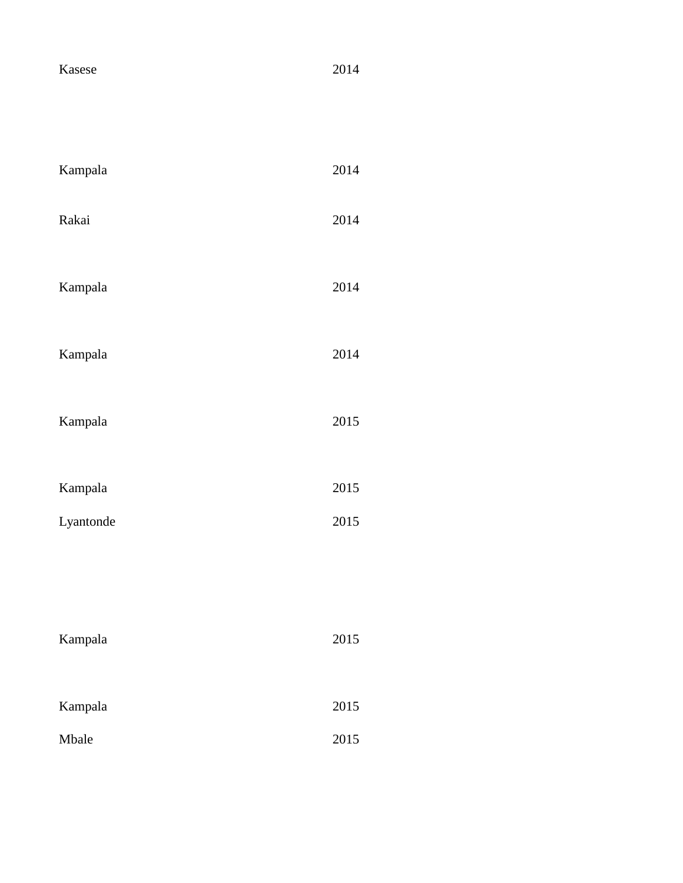| Kasese    | 2014 |
|-----------|------|
| Kampala   | 2014 |
| Rakai     | 2014 |
| Kampala   | 2014 |
| Kampala   | 2014 |
| Kampala   | 2015 |
| Kampala   | 2015 |
| Lyantonde | 2015 |
|           |      |
| Kampala   | 2015 |
| Kampala   | 2015 |
| Mbale     | 2015 |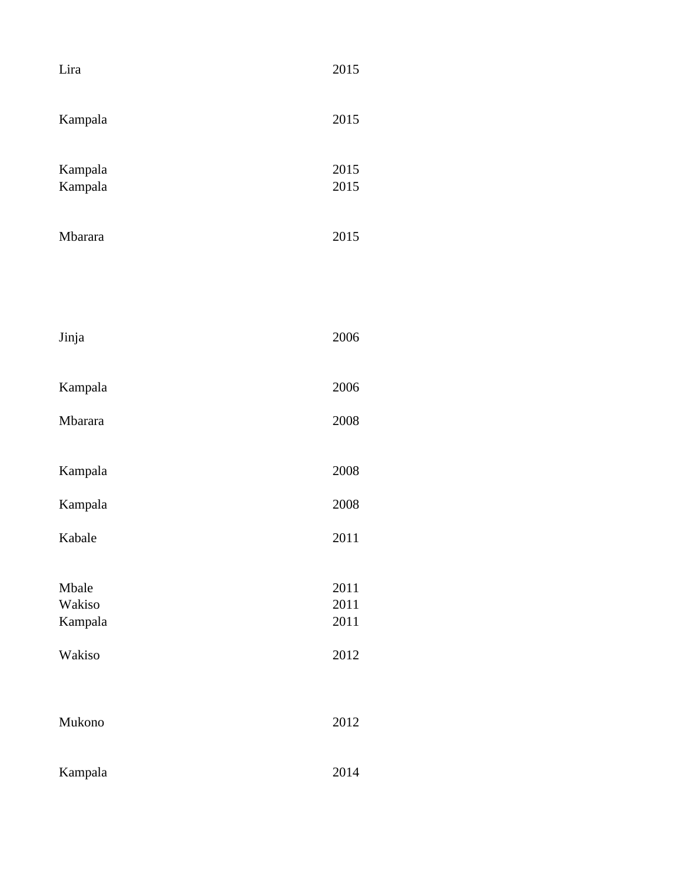| Lira                                 | 2015                         |
|--------------------------------------|------------------------------|
| Kampala                              | 2015                         |
| Kampala<br>Kampala                   | 2015<br>2015                 |
| Mbarara                              | 2015                         |
|                                      |                              |
| Jinja                                | 2006                         |
| Kampala                              | 2006                         |
| Mbarara                              | 2008                         |
| Kampala                              | 2008                         |
| Kampala                              | 2008                         |
| Kabale                               | 2011                         |
| Mbale<br>Wakiso<br>Kampala<br>Wakiso | 2011<br>2011<br>2011<br>2012 |
| Mukono                               | 2012                         |
| Kampala                              | 2014                         |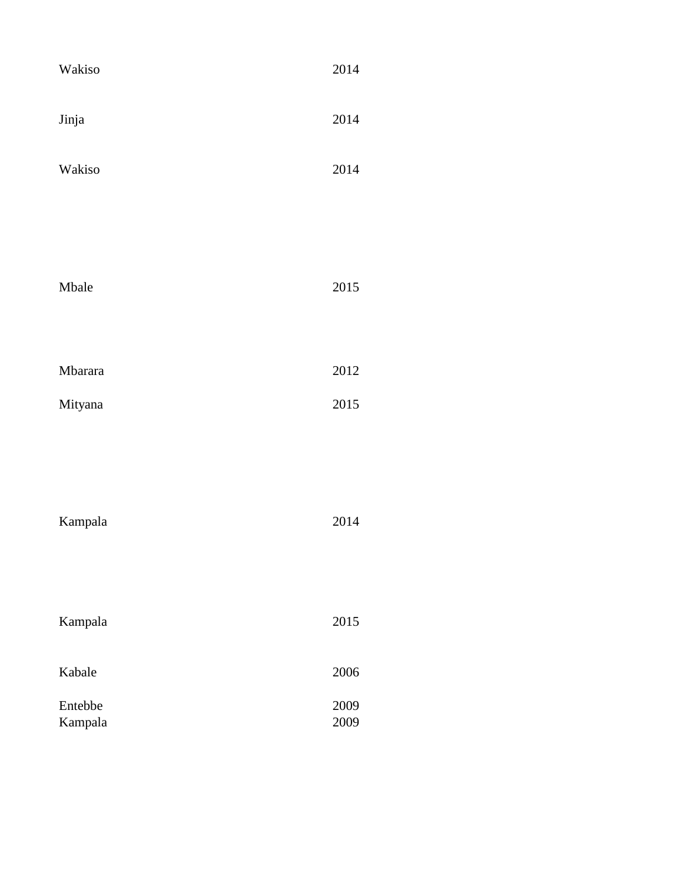| Wakiso             | 2014         |
|--------------------|--------------|
| Jinja              | 2014         |
| Wakiso             | 2014         |
|                    |              |
| Mbale              | 2015         |
|                    |              |
| Mbarara            | $2012\,$     |
| Mityana            | 2015         |
|                    |              |
| Kampala            | 2014         |
|                    |              |
| Kampala            | 2015         |
| Kabale             | 2006         |
| Entebbe<br>Kampala | 2009<br>2009 |
|                    |              |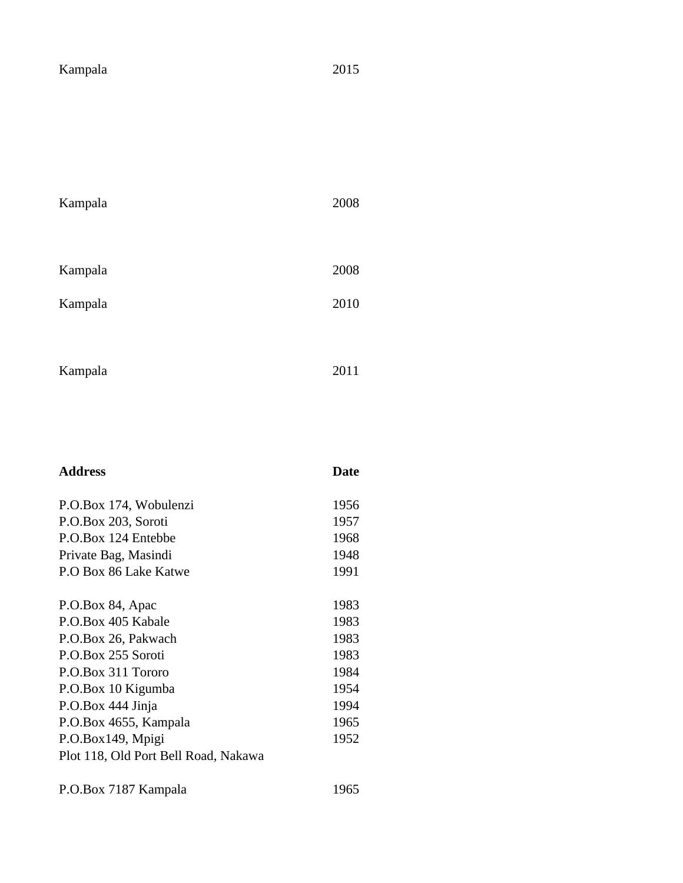| Kampala |  |
|---------|--|
|---------|--|

| Kampala | 2008 |
|---------|------|
|         |      |
| Kampala | 2008 |
| Kampala | 2010 |
|         |      |
| Kampala | 2011 |

| <b>Address</b>                       | <b>Date</b> |
|--------------------------------------|-------------|
| P.O.Box 174, Wobulenzi               | 1956        |
| P.O.Box 203, Soroti                  | 1957        |
| P.O.Box 124 Entebbe                  | 1968        |
| Private Bag, Masindi                 | 1948        |
| P.O Box 86 Lake Katwe                | 1991        |
| P.O.Box 84, Apac                     | 1983        |
| P.O.Box 405 Kabale                   | 1983        |
| P.O.Box 26, Pakwach                  | 1983        |
| P.O.Box 255 Soroti                   | 1983        |
| P.O.Box 311 Tororo                   | 1984        |
| P.O.Box 10 Kigumba                   | 1954        |
| P.O.Box 444 Jinja                    | 1994        |
| P.O.Box 4655, Kampala                | 1965        |
| P.O.Box149, Mpigi                    | 1952        |
| Plot 118, Old Port Bell Road, Nakawa |             |

P.O.Box 7187 Kampala 1965